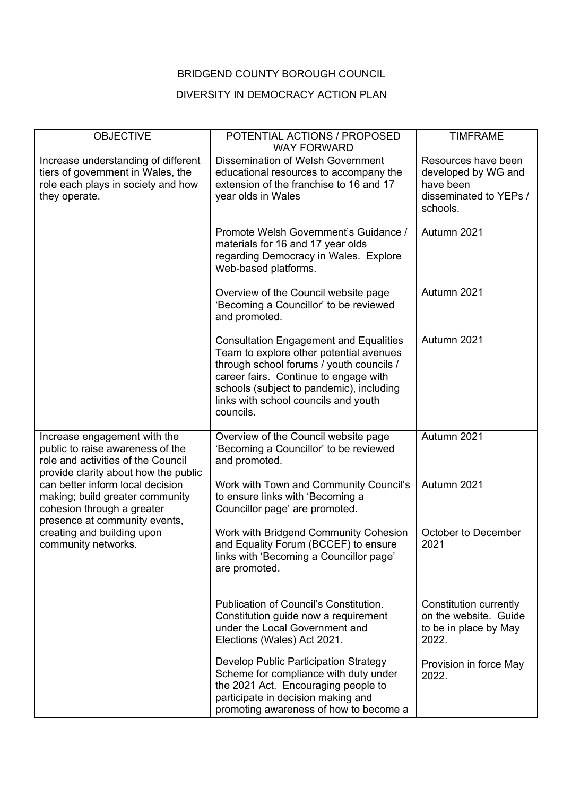## BRIDGEND COUNTY BOROUGH COUNCIL

## DIVERSITY IN DEMOCRACY ACTION PLAN

| <b>OBJECTIVE</b>                                                                                                                               | POTENTIAL ACTIONS / PROPOSED<br><b>WAY FORWARD</b>                                                                                                                                                                                                                             | <b>TIMFRAME</b>                                                                               |
|------------------------------------------------------------------------------------------------------------------------------------------------|--------------------------------------------------------------------------------------------------------------------------------------------------------------------------------------------------------------------------------------------------------------------------------|-----------------------------------------------------------------------------------------------|
| Increase understanding of different<br>tiers of government in Wales, the<br>role each plays in society and how<br>they operate.                | <b>Dissemination of Welsh Government</b><br>educational resources to accompany the<br>extension of the franchise to 16 and 17<br>year olds in Wales                                                                                                                            | Resources have been<br>developed by WG and<br>have been<br>disseminated to YEPs /<br>schools. |
|                                                                                                                                                | Promote Welsh Government's Guidance /<br>materials for 16 and 17 year olds<br>regarding Democracy in Wales. Explore<br>Web-based platforms.                                                                                                                                    | Autumn 2021                                                                                   |
|                                                                                                                                                | Overview of the Council website page<br>'Becoming a Councillor' to be reviewed<br>and promoted.                                                                                                                                                                                | Autumn 2021                                                                                   |
|                                                                                                                                                | <b>Consultation Engagement and Equalities</b><br>Team to explore other potential avenues<br>through school forums / youth councils /<br>career fairs. Continue to engage with<br>schools (subject to pandemic), including<br>links with school councils and youth<br>councils. | Autumn 2021                                                                                   |
| Increase engagement with the<br>public to raise awareness of the<br>role and activities of the Council<br>provide clarity about how the public | Overview of the Council website page<br>'Becoming a Councillor' to be reviewed<br>and promoted.                                                                                                                                                                                | Autumn 2021                                                                                   |
| can better inform local decision<br>making; build greater community<br>cohesion through a greater                                              | Work with Town and Community Council's<br>to ensure links with 'Becoming a<br>Councillor page' are promoted.                                                                                                                                                                   | Autumn 2021                                                                                   |
| presence at community events,<br>creating and building upon<br>community networks.                                                             | Work with Bridgend Community Cohesion<br>and Equality Forum (BCCEF) to ensure<br>links with 'Becoming a Councillor page'<br>are promoted.                                                                                                                                      | October to December<br>2021                                                                   |
|                                                                                                                                                | Publication of Council's Constitution.<br>Constitution guide now a requirement<br>under the Local Government and<br>Elections (Wales) Act 2021.                                                                                                                                | Constitution currently<br>on the website. Guide<br>to be in place by May<br>2022.             |
|                                                                                                                                                | Develop Public Participation Strategy<br>Scheme for compliance with duty under<br>the 2021 Act. Encouraging people to<br>participate in decision making and<br>promoting awareness of how to become a                                                                          | Provision in force May<br>2022.                                                               |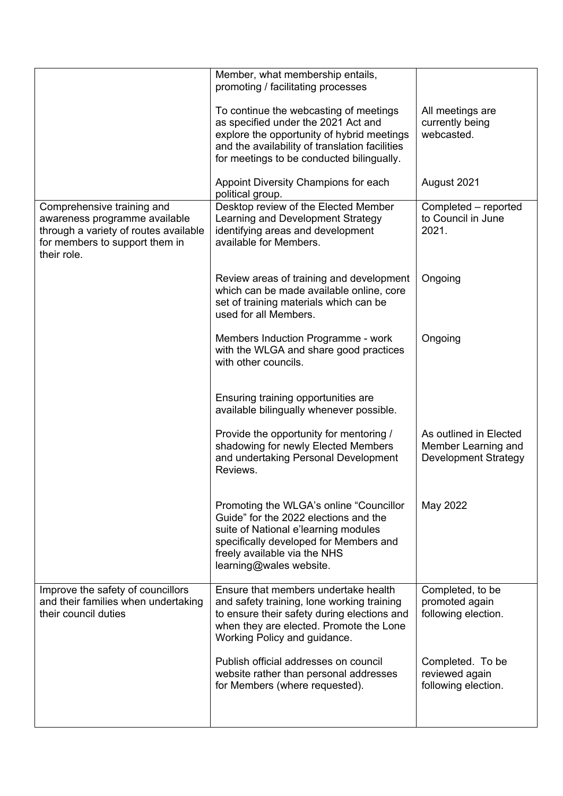|                                                                                                                                                       | Member, what membership entails,<br>promoting / facilitating processes                                                                                                                                                         |                                                                              |
|-------------------------------------------------------------------------------------------------------------------------------------------------------|--------------------------------------------------------------------------------------------------------------------------------------------------------------------------------------------------------------------------------|------------------------------------------------------------------------------|
|                                                                                                                                                       | To continue the webcasting of meetings<br>as specified under the 2021 Act and<br>explore the opportunity of hybrid meetings<br>and the availability of translation facilities<br>for meetings to be conducted bilingually.     | All meetings are<br>currently being<br>webcasted.                            |
|                                                                                                                                                       | Appoint Diversity Champions for each<br>political group.                                                                                                                                                                       | August 2021                                                                  |
| Comprehensive training and<br>awareness programme available<br>through a variety of routes available<br>for members to support them in<br>their role. | Desktop review of the Elected Member<br>Learning and Development Strategy<br>identifying areas and development<br>available for Members.                                                                                       | Completed - reported<br>to Council in June<br>2021.                          |
|                                                                                                                                                       | Review areas of training and development<br>which can be made available online, core<br>set of training materials which can be<br>used for all Members.                                                                        | Ongoing                                                                      |
|                                                                                                                                                       | Members Induction Programme - work<br>with the WLGA and share good practices<br>with other councils.                                                                                                                           | Ongoing                                                                      |
|                                                                                                                                                       | Ensuring training opportunities are<br>available bilingually whenever possible.                                                                                                                                                |                                                                              |
|                                                                                                                                                       | Provide the opportunity for mentoring /<br>shadowing for newly Elected Members<br>and undertaking Personal Development<br>Reviews.                                                                                             | As outlined in Elected<br>Member Learning and<br><b>Development Strategy</b> |
|                                                                                                                                                       | Promoting the WLGA's online "Councillor"<br>Guide" for the 2022 elections and the<br>suite of National e'learning modules<br>specifically developed for Members and<br>freely available via the NHS<br>learning@wales website. | May 2022                                                                     |
| Improve the safety of councillors<br>and their families when undertaking<br>their council duties                                                      | Ensure that members undertake health<br>and safety training, lone working training<br>to ensure their safety during elections and<br>when they are elected. Promote the Lone<br>Working Policy and guidance.                   | Completed, to be<br>promoted again<br>following election.                    |
|                                                                                                                                                       | Publish official addresses on council<br>website rather than personal addresses<br>for Members (where requested).                                                                                                              | Completed. To be<br>reviewed again<br>following election.                    |
|                                                                                                                                                       |                                                                                                                                                                                                                                |                                                                              |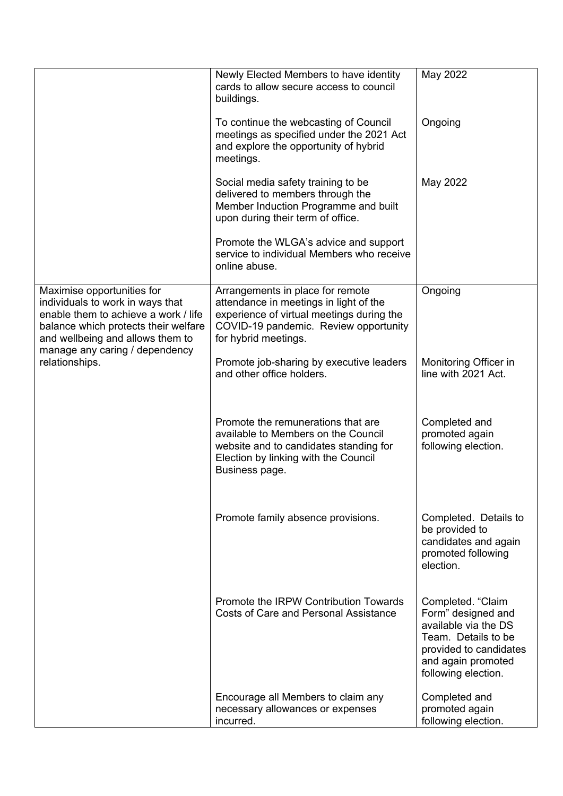|                                                                                                                                                                                                                                        | Newly Elected Members to have identity<br>cards to allow secure access to council<br>buildings.                                                                                          | May 2022                                                                                                                                                      |
|----------------------------------------------------------------------------------------------------------------------------------------------------------------------------------------------------------------------------------------|------------------------------------------------------------------------------------------------------------------------------------------------------------------------------------------|---------------------------------------------------------------------------------------------------------------------------------------------------------------|
|                                                                                                                                                                                                                                        | To continue the webcasting of Council<br>meetings as specified under the 2021 Act<br>and explore the opportunity of hybrid<br>meetings.                                                  | Ongoing                                                                                                                                                       |
|                                                                                                                                                                                                                                        | Social media safety training to be<br>delivered to members through the<br>Member Induction Programme and built<br>upon during their term of office.                                      | May 2022                                                                                                                                                      |
|                                                                                                                                                                                                                                        | Promote the WLGA's advice and support<br>service to individual Members who receive<br>online abuse.                                                                                      |                                                                                                                                                               |
| Maximise opportunities for<br>individuals to work in ways that<br>enable them to achieve a work / life<br>balance which protects their welfare<br>and wellbeing and allows them to<br>manage any caring / dependency<br>relationships. | Arrangements in place for remote<br>attendance in meetings in light of the<br>experience of virtual meetings during the<br>COVID-19 pandemic. Review opportunity<br>for hybrid meetings. | Ongoing                                                                                                                                                       |
|                                                                                                                                                                                                                                        | Promote job-sharing by executive leaders<br>and other office holders.                                                                                                                    | Monitoring Officer in<br>line with 2021 Act.                                                                                                                  |
|                                                                                                                                                                                                                                        | Promote the remunerations that are<br>available to Members on the Council<br>website and to candidates standing for<br>Election by linking with the Council<br>Business page.            | Completed and<br>promoted again<br>following election.                                                                                                        |
|                                                                                                                                                                                                                                        | Promote family absence provisions.                                                                                                                                                       | Completed. Details to<br>be provided to<br>candidates and again<br>promoted following<br>election.                                                            |
|                                                                                                                                                                                                                                        | Promote the IRPW Contribution Towards<br>Costs of Care and Personal Assistance                                                                                                           | Completed. "Claim<br>Form" designed and<br>available via the DS<br>Team. Details to be<br>provided to candidates<br>and again promoted<br>following election. |
|                                                                                                                                                                                                                                        | Encourage all Members to claim any<br>necessary allowances or expenses<br>incurred.                                                                                                      | Completed and<br>promoted again<br>following election.                                                                                                        |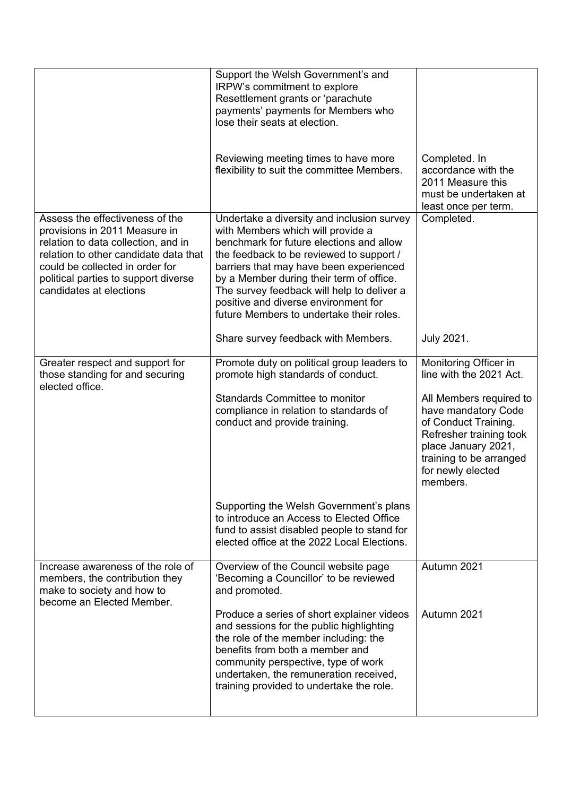|                                                                                                                                                                                                                                                        | Support the Welsh Government's and<br>IRPW's commitment to explore<br>Resettlement grants or 'parachute<br>payments' payments for Members who<br>lose their seats at election.<br>Reviewing meeting times to have more<br>flexibility to suit the committee Members.                                                                                                                             | Completed. In<br>accordance with the<br>2011 Measure this<br>must be undertaken at                                                                                                                                                       |
|--------------------------------------------------------------------------------------------------------------------------------------------------------------------------------------------------------------------------------------------------------|--------------------------------------------------------------------------------------------------------------------------------------------------------------------------------------------------------------------------------------------------------------------------------------------------------------------------------------------------------------------------------------------------|------------------------------------------------------------------------------------------------------------------------------------------------------------------------------------------------------------------------------------------|
| Assess the effectiveness of the<br>provisions in 2011 Measure in<br>relation to data collection, and in<br>relation to other candidate data that<br>could be collected in order for<br>political parties to support diverse<br>candidates at elections | Undertake a diversity and inclusion survey<br>with Members which will provide a<br>benchmark for future elections and allow<br>the feedback to be reviewed to support /<br>barriers that may have been experienced<br>by a Member during their term of office.<br>The survey feedback will help to deliver a<br>positive and diverse environment for<br>future Members to undertake their roles. | least once per term.<br>Completed.                                                                                                                                                                                                       |
|                                                                                                                                                                                                                                                        | Share survey feedback with Members.                                                                                                                                                                                                                                                                                                                                                              | July 2021.                                                                                                                                                                                                                               |
| Greater respect and support for<br>those standing for and securing<br>elected office.                                                                                                                                                                  | Promote duty on political group leaders to<br>promote high standards of conduct.<br><b>Standards Committee to monitor</b><br>compliance in relation to standards of<br>conduct and provide training.                                                                                                                                                                                             | Monitoring Officer in<br>line with the 2021 Act.<br>All Members required to<br>have mandatory Code<br>of Conduct Training.<br>Refresher training took<br>place January 2021,<br>training to be arranged<br>for newly elected<br>members. |
|                                                                                                                                                                                                                                                        | Supporting the Welsh Government's plans<br>to introduce an Access to Elected Office<br>fund to assist disabled people to stand for<br>elected office at the 2022 Local Elections.                                                                                                                                                                                                                |                                                                                                                                                                                                                                          |
| Increase awareness of the role of<br>members, the contribution they<br>make to society and how to                                                                                                                                                      | Overview of the Council website page<br>'Becoming a Councillor' to be reviewed<br>and promoted.                                                                                                                                                                                                                                                                                                  | Autumn 2021                                                                                                                                                                                                                              |
| become an Elected Member.                                                                                                                                                                                                                              | Produce a series of short explainer videos<br>and sessions for the public highlighting<br>the role of the member including: the<br>benefits from both a member and<br>community perspective, type of work<br>undertaken, the remuneration received,<br>training provided to undertake the role.                                                                                                  | Autumn 2021                                                                                                                                                                                                                              |